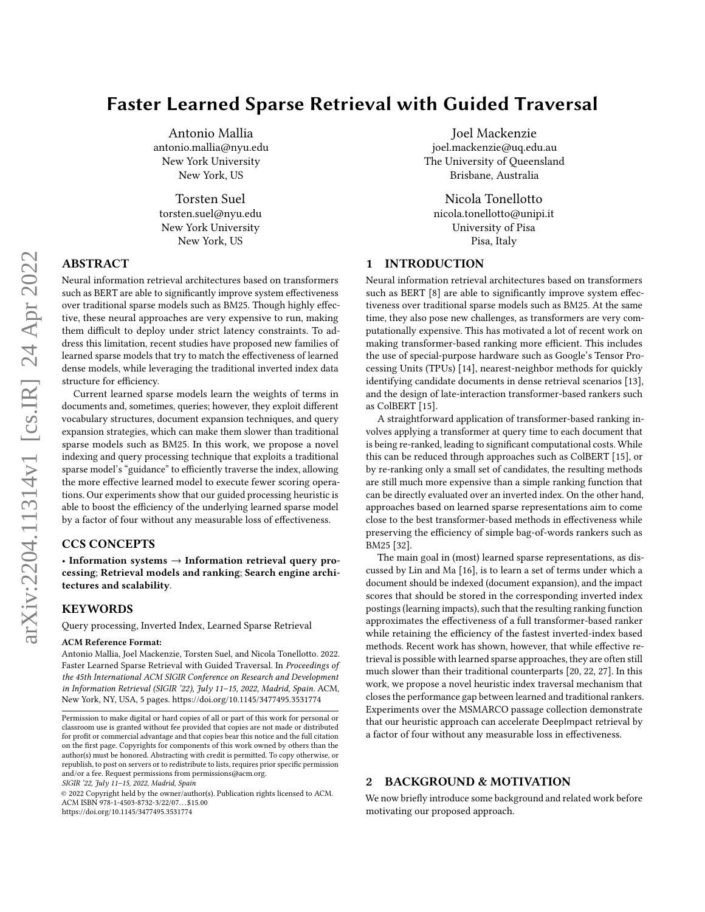# Faster Learned Sparse Retrieval with Guided Traversal

Antonio Mallia antonio.mallia@nyu.edu New York University New York, US

Torsten Suel torsten.suel@nyu.edu New York University New York, US

# ABSTRACT

Neural information retrieval architectures based on transformers such as BERT are able to significantly improve system effectiveness over traditional sparse models such as BM25. Though highly effective, these neural approaches are very expensive to run, making them difficult to deploy under strict latency constraints. To address this limitation, recent studies have proposed new families of learned sparse models that try to match the effectiveness of learned dense models, while leveraging the traditional inverted index data structure for efficiency.

Current learned sparse models learn the weights of terms in documents and, sometimes, queries; however, they exploit different vocabulary structures, document expansion techniques, and query expansion strategies, which can make them slower than traditional sparse models such as BM25. In this work, we propose a novel indexing and query processing technique that exploits a traditional sparse model's "guidance" to efficiently traverse the index, allowing the more effective learned model to execute fewer scoring operations. Our experiments show that our guided processing heuristic is able to boost the efficiency of the underlying learned sparse model by a factor of four without any measurable loss of effectiveness.

# CCS CONCEPTS

• Information systems  $\rightarrow$  Information retrieval query processing; Retrieval models and ranking; Search engine architectures and scalability.

#### **KEYWORDS**

Query processing, Inverted Index, Learned Sparse Retrieval

#### ACM Reference Format:

Antonio Mallia, Joel Mackenzie, Torsten Suel, and Nicola Tonellotto. 2022. Faster Learned Sparse Retrieval with Guided Traversal. In Proceedings of the 45th International ACM SIGIR Conference on Research and Development in Information Retrieval (SIGIR '22), July 11–15, 2022, Madrid, Spain. ACM, New York, NY, USA, [5](#page-4-0) pages.<https://doi.org/10.1145/3477495.3531774>

SIGIR '22, July 11–15, 2022, Madrid, Spain

© 2022 Copyright held by the owner/author(s). Publication rights licensed to ACM. ACM ISBN 978-1-4503-8732-3/22/07. . . \$15.00 <https://doi.org/10.1145/3477495.3531774>

Joel Mackenzie joel.mackenzie@uq.edu.au The University of Queensland Brisbane, Australia

Nicola Tonellotto nicola.tonellotto@unipi.it University of Pisa Pisa, Italy

## 1 INTRODUCTION

Neural information retrieval architectures based on transformers such as BERT [\[8\]](#page-4-1) are able to significantly improve system effectiveness over traditional sparse models such as BM25. At the same time, they also pose new challenges, as transformers are very computationally expensive. This has motivated a lot of recent work on making transformer-based ranking more efficient. This includes the use of special-purpose hardware such as Google's Tensor Processing Units (TPUs) [\[14\]](#page-4-2), nearest-neighbor methods for quickly identifying candidate documents in dense retrieval scenarios [\[13\]](#page-4-3), and the design of late-interaction transformer-based rankers such as ColBERT [\[15\]](#page-4-4).

A straightforward application of transformer-based ranking involves applying a transformer at query time to each document that is being re-ranked, leading to significant computational costs. While this can be reduced through approaches such as ColBERT [\[15\]](#page-4-4), or by re-ranking only a small set of candidates, the resulting methods are still much more expensive than a simple ranking function that can be directly evaluated over an inverted index. On the other hand, approaches based on learned sparse representations aim to come close to the best transformer-based methods in effectiveness while preserving the efficiency of simple bag-of-words rankers such as BM25 [\[32\]](#page-4-5).

The main goal in (most) learned sparse representations, as discussed by Lin and Ma [\[16\]](#page-4-6), is to learn a set of terms under which a document should be indexed (document expansion), and the impact scores that should be stored in the corresponding inverted index postings (learning impacts), such that the resulting ranking function approximates the effectiveness of a full transformer-based ranker while retaining the efficiency of the fastest inverted-index based methods. Recent work has shown, however, that while effective retrieval is possible with learned sparse approaches, they are often still much slower than their traditional counterparts [\[20,](#page-4-7) [22,](#page-4-8) [27\]](#page-4-9). In this work, we propose a novel heuristic index traversal mechanism that closes the performance gap between learned and traditional rankers. Experiments over the MSMARCO passage collection demonstrate that our heuristic approach can accelerate DeepImpact retrieval by a factor of four without any measurable loss in effectiveness.

# <span id="page-0-0"></span>2 BACKGROUND & MOTIVATION

We now briefly introduce some background and related work before motivating our proposed approach.

Permission to make digital or hard copies of all or part of this work for personal or classroom use is granted without fee provided that copies are not made or distributed for profit or commercial advantage and that copies bear this notice and the full citation on the first page. Copyrights for components of this work owned by others than the author(s) must be honored. Abstracting with credit is permitted. To copy otherwise, or republish, to post on servers or to redistribute to lists, requires prior specific permission and/or a fee. Request permissions from permissions@acm.org.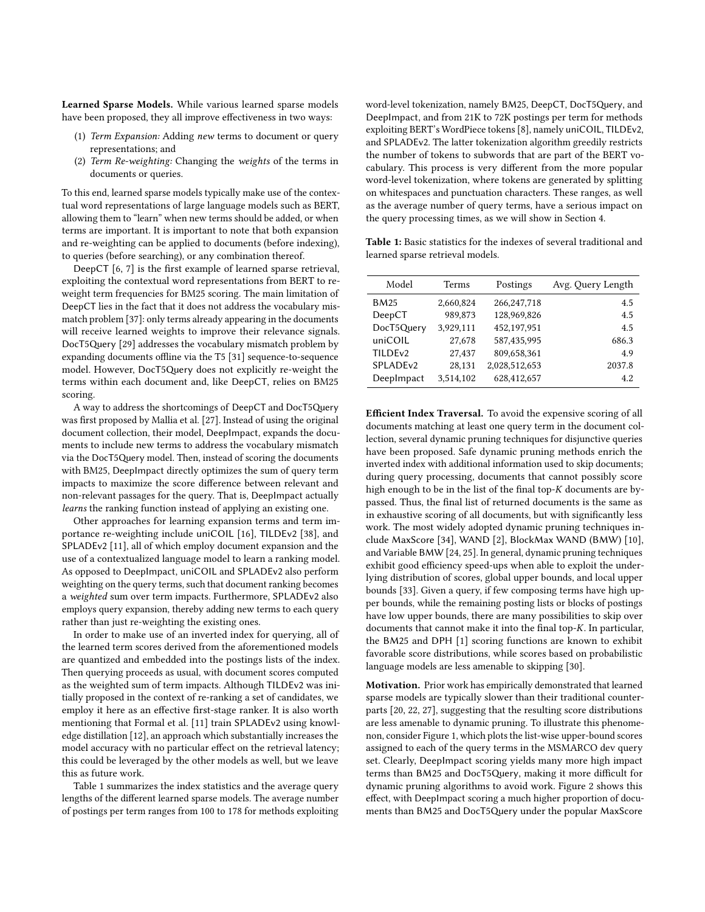Learned Sparse Models. While various learned sparse models have been proposed, they all improve effectiveness in two ways:

- (1) Term Expansion: Adding new terms to document or query representations; and
- (2) Term Re-weighting: Changing the weights of the terms in documents or queries.

To this end, learned sparse models typically make use of the contextual word representations of large language models such as BERT, allowing them to "learn" when new terms should be added, or when terms are important. It is important to note that both expansion and re-weighting can be applied to documents (before indexing), to queries (before searching), or any combination thereof.

DeepCT [\[6,](#page-4-10) [7\]](#page-4-11) is the first example of learned sparse retrieval, exploiting the contextual word representations from BERT to reweight term frequencies for BM25 scoring. The main limitation of DeepCT lies in the fact that it does not address the vocabulary mismatch problem [\[37\]](#page-4-12): only terms already appearing in the documents will receive learned weights to improve their relevance signals. DocT5Query [\[29\]](#page-4-13) addresses the vocabulary mismatch problem by expanding documents offline via the T5 [\[31\]](#page-4-14) sequence-to-sequence model. However, DocT5Query does not explicitly re-weight the terms within each document and, like DeepCT, relies on BM25 scoring.

A way to address the shortcomings of DeepCT and DocT5Query was first proposed by Mallia et al. [\[27\]](#page-4-9). Instead of using the original document collection, their model, DeepImpact, expands the documents to include new terms to address the vocabulary mismatch via the DocT5Query model. Then, instead of scoring the documents with BM25, DeepImpact directly optimizes the sum of query term impacts to maximize the score difference between relevant and non-relevant passages for the query. That is, DeepImpact actually learns the ranking function instead of applying an existing one.

Other approaches for learning expansion terms and term importance re-weighting include uniCOIL [\[16\]](#page-4-6), TILDEv2 [\[38\]](#page-4-15), and SPLADEv2 [\[11\]](#page-4-16), all of which employ document expansion and the use of a contextualized language model to learn a ranking model. As opposed to DeepImpact, uniCOIL and SPLADEv2 also perform weighting on the query terms, such that document ranking becomes a weighted sum over term impacts. Furthermore, SPLADEv2 also employs query expansion, thereby adding new terms to each query rather than just re-weighting the existing ones.

In order to make use of an inverted index for querying, all of the learned term scores derived from the aforementioned models are quantized and embedded into the postings lists of the index. Then querying proceeds as usual, with document scores computed as the weighted sum of term impacts. Although TILDEv2 was initially proposed in the context of re-ranking a set of candidates, we employ it here as an effective first-stage ranker. It is also worth mentioning that Formal et al. [\[11\]](#page-4-16) train SPLADEv2 using knowledge distillation [\[12\]](#page-4-17), an approach which substantially increases the model accuracy with no particular effect on the retrieval latency; this could be leveraged by the other models as well, but we leave this as future work.

Table [1](#page-1-0) summarizes the index statistics and the average query lengths of the different learned sparse models. The average number of postings per term ranges from 100 to 178 for methods exploiting word-level tokenization, namely BM25, DeepCT, DocT5Query, and DeepImpact, and from 21K to 72K postings per term for methods exploiting BERT's WordPiece tokens [\[8\]](#page-4-1), namely uniCOIL, TILDEv2, and SPLADEv2. The latter tokenization algorithm greedily restricts the number of tokens to subwords that are part of the BERT vocabulary. This process is very different from the more popular word-level tokenization, where tokens are generated by splitting on whitespaces and punctuation characters. These ranges, as well as the average number of query terms, have a serious impact on the query processing times, as we will show in Section [4.](#page-2-0)

<span id="page-1-0"></span>Table 1: Basic statistics for the indexes of several traditional and learned sparse retrieval models.

| Model                | <b>Terms</b> | Postings      | Avg. Query Length |
|----------------------|--------------|---------------|-------------------|
| <b>BM25</b>          | 2,660,824    | 266, 247, 718 | 4.5               |
| DeepCT               | 989,873      | 128,969,826   | 4.5               |
| DocT5Query           | 3,929,111    | 452,197,951   | 4.5               |
| uniCOIL              | 27,678       | 587,435,995   | 686.3             |
| TILDE <sub>v2</sub>  | 27,437       | 809,658,361   | 4.9               |
| SPLADE <sub>v2</sub> | 28,131       | 2,028,512,653 | 2037.8            |
| DeepImpact           | 3,514,102    | 628,412,657   | 4.2               |

Efficient Index Traversal. To avoid the expensive scoring of all documents matching at least one query term in the document collection, several dynamic pruning techniques for disjunctive queries have been proposed. Safe dynamic pruning methods enrich the inverted index with additional information used to skip documents; during query processing, documents that cannot possibly score high enough to be in the list of the final top- $K$  documents are bypassed. Thus, the final list of returned documents is the same as in exhaustive scoring of all documents, but with significantly less work. The most widely adopted dynamic pruning techniques include MaxScore [\[34\]](#page-4-18), WAND [\[2\]](#page-4-19), BlockMax WAND (BMW) [\[10\]](#page-4-20), and Variable BMW [\[24,](#page-4-21) [25\]](#page-4-22). In general, dynamic pruning techniques exhibit good efficiency speed-ups when able to exploit the underlying distribution of scores, global upper bounds, and local upper bounds [\[33\]](#page-4-23). Given a query, if few composing terms have high upper bounds, while the remaining posting lists or blocks of postings have low upper bounds, there are many possibilities to skip over documents that cannot make it into the final top- $K$ . In particular, the BM25 and DPH [\[1\]](#page-4-24) scoring functions are known to exhibit favorable score distributions, while scores based on probabilistic language models are less amenable to skipping [\[30\]](#page-4-25).

Motivation. Prior work has empirically demonstrated that learned sparse models are typically slower than their traditional counterparts [\[20,](#page-4-7) [22,](#page-4-8) [27\]](#page-4-9), suggesting that the resulting score distributions are less amenable to dynamic pruning. To illustrate this phenomenon, consider Figure [1,](#page-2-1) which plots the list-wise upper-bound scores assigned to each of the query terms in the MSMARCO dev query set. Clearly, DeepImpact scoring yields many more high impact terms than BM25 and DocT5Query, making it more difficult for dynamic pruning algorithms to avoid work. Figure [2](#page-2-2) shows this effect, with DeepImpact scoring a much higher proportion of documents than BM25 and DocT5Query under the popular MaxScore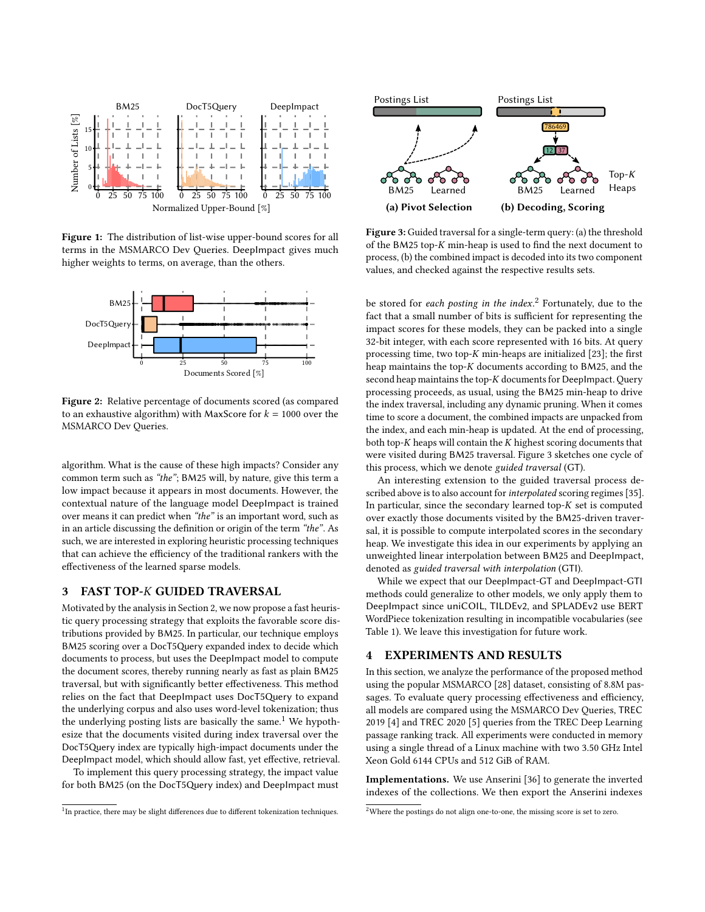<span id="page-2-1"></span>

Figure 1: The distribution of list-wise upper-bound scores for all terms in the MSMARCO Dev Queries. DeepImpact gives much higher weights to terms, on average, than the others.

<span id="page-2-2"></span>

Figure 2: Relative percentage of documents scored (as compared to an exhaustive algorithm) with MaxScore for  $k = 1000$  over the MSMARCO Dev Queries.

algorithm. What is the cause of these high impacts? Consider any common term such as "the"; BM25 will, by nature, give this term a low impact because it appears in most documents. However, the contextual nature of the language model DeepImpact is trained over means it can predict when "the" is an important word, such as in an article discussing the definition or origin of the term "the". As such, we are interested in exploring heuristic processing techniques that can achieve the efficiency of the traditional rankers with the effectiveness of the learned sparse models.

### 3 FAST TOP-K GUIDED TRAVERSAL

5<br>  $\frac{1}{\sqrt{1-\frac{1}{2}}}$ <br>  $\frac{1}{\sqrt{1-\frac{1}{2}}}$ <br>  $\frac{1}{\sqrt{1-\frac{1}{2}}}$ <br>  $\frac{1}{\sqrt{1-\frac{1}{2}}}$ <br>  $\frac{1}{\sqrt{1-\frac{1}{2}}}$ <br>  $\frac{1}{\sqrt{1-\frac{1}{2}}}$ <br>  $\frac{1}{\sqrt{1-\frac{1}{2}}}$ <br>  $\frac{1}{\sqrt{1-\frac{1}{2}}}$ <br>  $\frac{1}{\sqrt{1-\frac{1}{2}}}$ <br>  $\frac{1}{\sqrt{1-\frac{1}{2}}}$ <br>  $\frac{1}{\sqrt{1-\frac{1}{2}}}$ DocT5Query<br>DeepImpact<br>DeepImpact<br>DeepImpact<br>MSMARCO Dev<br>algorithm. What<br>common term su<br>low impact beca<br>contextual natu:<br>over means it can<br>in an article discussion, we are intered that can achieve<br>effectiveness of 1<br>3 FAST Motivated by the analysis in Section [2,](#page-0-0) we now propose a fast heuristic query processing strategy that exploits the favorable score distributions provided by BM25. In particular, our technique employs BM25 scoring over a DocT5Query expanded index to decide which documents to process, but uses the DeepImpact model to compute the document scores, thereby running nearly as fast as plain BM25 traversal, but with significantly better effectiveness. This method relies on the fact that DeepImpact uses DocT5Query to expand the underlying corpus and also uses word-level tokenization; thus the underlying posting lists are basically the same.<sup>[1](#page-2-3)</sup> We hypothesize that the documents visited during index traversal over the DocT5Query index are typically high-impact documents under the DeepImpact model, which should allow fast, yet effective, retrieval. **The main of the signal of the signal of the signal of the signal of the signal of the signal of the signal of the signal of the signal of the signal of the signal of the signal of the signal of the signal of the signal** 

To implement this query processing strategy, the impact value for both BM25 (on the DocT5Query index) and DeepImpact must

<span id="page-2-3"></span>

<span id="page-2-5"></span>

Figure 3: Guided traversal for a single-term query: (a) the threshold of the BM25 top- $K$  min-heap is used to find the next document to process, (b) the combined impact is decoded into its two component values, and checked against the respective results sets.

be stored for each posting in the index.<sup>[2](#page-2-4)</sup> Fortunately, due to the fact that a small number of bits is sufficient for representing the impact scores for these models, they can be packed into a single 32-bit integer, with each score represented with 16 bits. At query processing time, two top- $K$  min-heaps are initialized [\[23\]](#page-4-26); the first heap maintains the top- $K$  documents according to BM25, and the second heap maintains the top- $K$  documents for DeepImpact. Query processing proceeds, as usual, using the BM25 min-heap to drive the index traversal, including any dynamic pruning. When it comes time to score a document, the combined impacts are unpacked from the index, and each min-heap is updated. At the end of processing, both top- $K$  heaps will contain the  $K$  highest scoring documents that were visited during BM25 traversal. Figure [3](#page-2-5) sketches one cycle of this process, which we denote guided traversal (GT).

An interesting extension to the guided traversal process de-scribed above is to also account for interpolated scoring regimes [\[35\]](#page-4-27). In particular, since the secondary learned top- $K$  set is computed over exactly those documents visited by the BM25-driven traversal, it is possible to compute interpolated scores in the secondary heap. We investigate this idea in our experiments by applying an unweighted linear interpolation between BM25 and DeepImpact, denoted as guided traversal with interpolation (GTI).

While we expect that our DeepImpact-GT and DeepImpact-GTI methods could generalize to other models, we only apply them to DeepImpact since uniCOIL, TILDEv2, and SPLADEv2 use BERT WordPiece tokenization resulting in incompatible vocabularies (see Table [1\)](#page-1-0). We leave this investigation for future work.

#### <span id="page-2-0"></span>4 EXPERIMENTS AND RESULTS

In this section, we analyze the performance of the proposed method using the popular MSMARCO [\[28\]](#page-4-28) dataset, consisting of 8.8M passages. To evaluate query processing effectiveness and efficiency, all models are compared using the MSMARCO Dev Queries, TREC 2019 [\[4\]](#page-4-29) and TREC 2020 [\[5\]](#page-4-30) queries from the TREC Deep Learning passage ranking track. All experiments were conducted in memory using a single thread of a Linux machine with two 3.50 GHz Intel Xeon Gold 6144 CPUs and 512 GiB of RAM.

Implementations. We use Anserini [\[36\]](#page-4-31) to generate the inverted indexes of the collections. We then export the Anserini indexes

<span id="page-2-4"></span><sup>2</sup>Where the postings do not align one-to-one, the missing score is set to zero.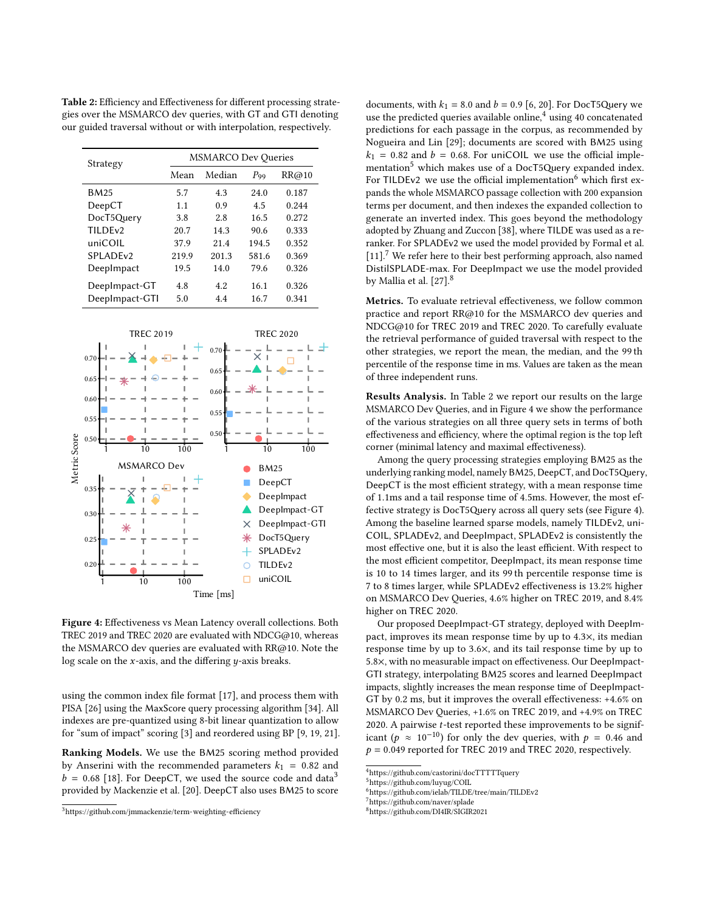Strategy MSMARCO Dev Queries Mean Median P<sub>99</sub> RR@10 BM25 5.7 4.3 24.0 0.187 DeepCT 1.1 0.9 4.5 0.244 DocT5Query 3.8 2.8 16.5 0.272 TILDEv2 20.7 14.3 90.6 0.333 uniCOIL 37.9 21.4 194.5 0.352 SPLADEv2 219.9 201.3 581.6 0.369 DeepImpact 19.5 14.0 79.6 0.326 DeepImpact-GT 4.8 4.2 16.1 0.326 DeepImpact-GTI 5.0 4.4 16.7 0.341

<span id="page-3-7"></span>

Figure 4: Effectiveness vs Mean Latency overall collections. Both TREC 2019 and TREC 2020 are evaluated with NDCG@10, whereas the MSMARCO dev queries are evaluated with RR@10. Note the log scale on the  $x$ -axis, and the differing  $y$ -axis breaks.

using the common index file format [\[17\]](#page-4-32), and process them with PISA [\[26\]](#page-4-33) using the MaxScore query processing algorithm [\[34\]](#page-4-18). All indexes are pre-quantized using 8-bit linear quantization to allow for "sum of impact" scoring [\[3\]](#page-4-34) and reordered using BP [\[9,](#page-4-35) [19,](#page-4-36) [21\]](#page-4-37).

Ranking Models. We use the BM25 scoring method provided by Anserini with the recommended parameters  $k_1 = 0.82$  and  $b = 0.68$  [\[18\]](#page-4-38). For DeepCT, we used the source code and data<sup>[3](#page-3-0)</sup> provided by Mackenzie et al. [\[20\]](#page-4-7). DeepCT also uses BM25 to score

documents, with  $k_1 = 8.0$  and  $b = 0.9$  [\[6,](#page-4-10) [20\]](#page-4-7). For DocT5Query we use the predicted queries available online, $4$  using 40 concatenated predictions for each passage in the corpus, as recommended by Nogueira and Lin [\[29\]](#page-4-13); documents are scored with BM25 using  $k_1$  = 0.82 and  $b$  = 0.68. For uniCOIL we use the official imple-mentation<sup>[5](#page-3-2)</sup> which makes use of a DocT5Query expanded index. For TILDEv2 we use the official implementation<sup>[6](#page-3-3)</sup> which first expands the whole MSMARCO passage collection with 200 expansion terms per document, and then indexes the expanded collection to generate an inverted index. This goes beyond the methodology adopted by Zhuang and Zuccon [\[38\]](#page-4-15), where TILDE was used as a reranker. For SPLADEv2 we used the model provided by Formal et al. [\[11\]](#page-4-16).<sup>[7](#page-3-4)</sup> We refer here to their best performing approach, also named DistilSPLADE-max. For DeepImpact we use the model provided by Mallia et al. [\[27\]](#page-4-9).<sup>[8](#page-3-5)</sup>

Metrics. To evaluate retrieval effectiveness, we follow common practice and report RR@10 for the MSMARCO dev queries and NDCG@10 for TREC 2019 and TREC 2020. To carefully evaluate the retrieval performance of guided traversal with respect to the other strategies, we report the mean, the median, and the 99 th percentile of the response time in ms. Values are taken as the mean of three independent runs.

Results Analysis. In Table [2](#page-3-6) we report our results on the large MSMARCO Dev Queries, and in Figure [4](#page-3-7) we show the performance of the various strategies on all three query sets in terms of both effectiveness and efficiency, where the optimal region is the top left corner (minimal latency and maximal effectiveness).

Among the query processing strategies employing BM25 as the underlying ranking model, namely BM25, DeepCT, and DocT5Query, DeepCT is the most efficient strategy, with a mean response time of 1.1ms and a tail response time of 4.5ms. However, the most effective strategy is DocT5Query across all query sets (see Figure [4\)](#page-3-7). Among the baseline learned sparse models, namely TILDEv2, uni-COIL, SPLADEv2, and DeepImpact, SPLADEv2 is consistently the most effective one, but it is also the least efficient. With respect to the most efficient competitor, DeepImpact, its mean response time is 10 to 14 times larger, and its 99 th percentile response time is 7 to 8 times larger, while SPLADEv2 effectiveness is 13.2% higher on MSMARCO Dev Queries, 4.6% higher on TREC 2019, and 8.4% higher on TREC 2020.

Our proposed DeepImpact-GT strategy, deployed with DeepImpact, improves its mean response time by up to 4.3×, its median response time by up to 3.6×, and its tail response time by up to 5.8×, with no measurable impact on effectiveness. Our DeepImpact-GTI strategy, interpolating BM25 scores and learned DeepImpact impacts, slightly increases the mean response time of DeepImpact-GT by 0.2 ms, but it improves the overall effectiveness: +4.6% on MSMARCO Dev Queries, +1.6% on TREC 2019, and +4.9% on TREC 2020. A pairwise  $t$ -test reported these improvements to be significant ( $p \approx 10^{-10}$ ) for only the dev queries, with  $p = 0.46$  and  $p = 0.049$  reported for TREC 2019 and TREC 2020, respectively.

<span id="page-3-6"></span>Table 2: Efficiency and Effectiveness for different processing strategies over the MSMARCO dev queries, with GT and GTI denoting our guided traversal without or with interpolation, respectively.

<span id="page-3-0"></span><sup>3</sup><https://github.com/jmmackenzie/term-weighting-efficiency>

<span id="page-3-1"></span><sup>&</sup>lt;sup>4</sup><https://github.com/castorini/docTTTTTquery>

<span id="page-3-2"></span> $5$ <https://github.com/luyug/COIL>

<span id="page-3-3"></span><sup>6</sup><https://github.com/ielab/TILDE/tree/main/TILDEv2>

<span id="page-3-4"></span><sup>7</sup><https://github.com/naver/splade>

<span id="page-3-5"></span><sup>8</sup><https://github.com/DI4IR/SIGIR2021>